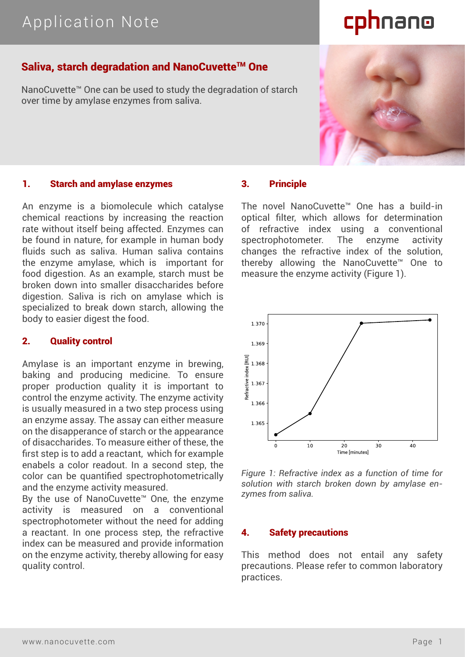## Application Note

# cphnano

### Saliva, starch degradation and NanoCuvette™ One

NanoCuvette™ One can be used to study the degradation of starch over time by amylase enzymes from saliva.



An enzyme is a biomolecule which catalyse chemical reactions by increasing the reaction rate without itself being affected. Enzymes can be found in nature, for example in human body fluids such as saliva. Human saliva contains the enzyme amylase, which is important for food digestion. As an example, starch must be broken down into smaller disaccharides before digestion. Saliva is rich on amylase which is specialized to break down starch, allowing the body to easier digest the food.

#### 2. Quality control

Amylase is an important enzyme in brewing, baking and producing medicine. To ensure proper production quality it is important to control the enzyme activity. The enzyme activity is usually measured in a two step process using an enzyme assay. The assay can either measure on the disapperance of starch or the appearance of disaccharides. To measure either of these, the first step is to add a reactant, which for example enabels a color readout. In a second step, the color can be quantified spectrophotometrically and the enzyme activity measured.

By the use of NanoCuvette™ One, the enzyme activity is measured on a conventional spectrophotometer without the need for adding a reactant. In one process step, the refractive index can be measured and provide information on the enzyme activity, thereby allowing for easy quality control.

#### 3. Principle

The novel NanoCuvette™ One has a build-in optical filter, which allows for determination of refractive index using a conventional spectrophotometer. The enzyme activity changes the refractive index of the solution, thereby allowing the NanoCuvette™ One to measure the enzyme activity (Figure 1).



*Figure 1: Refractive index as a function of time for solution with starch broken down by amylase enzymes from saliva.*

#### 4. Safety precautions

This method does not entail any safety precautions. Please refer to common laboratory practices.